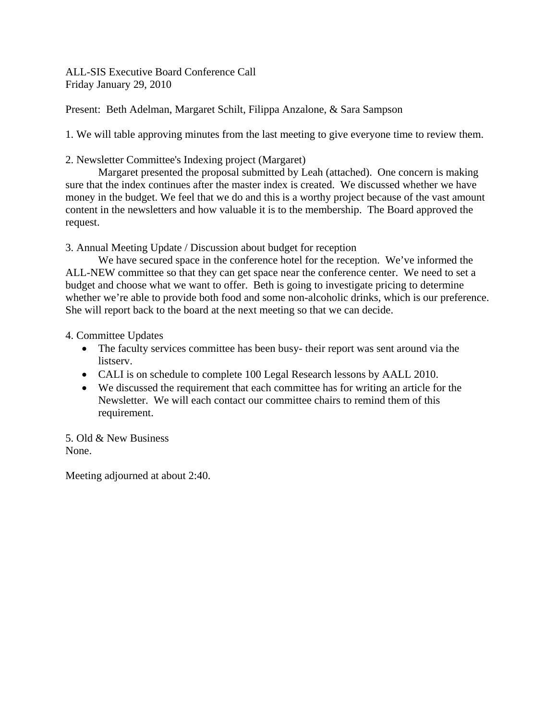ALL-SIS Executive Board Conference Call Friday January 29, 2010

Present: Beth Adelman, Margaret Schilt, Filippa Anzalone, & Sara Sampson

1. We will table approving minutes from the last meeting to give everyone time to review them.

2. Newsletter Committee's Indexing project (Margaret)

 Margaret presented the proposal submitted by Leah (attached). One concern is making sure that the index continues after the master index is created. We discussed whether we have money in the budget. We feel that we do and this is a worthy project because of the vast amount content in the newsletters and how valuable it is to the membership. The Board approved the request.

3. Annual Meeting Update / Discussion about budget for reception

We have secured space in the conference hotel for the reception. We've informed the ALL-NEW committee so that they can get space near the conference center. We need to set a budget and choose what we want to offer. Beth is going to investigate pricing to determine whether we're able to provide both food and some non-alcoholic drinks, which is our preference. She will report back to the board at the next meeting so that we can decide.

4. Committee Updates

- The faculty services committee has been busy- their report was sent around via the listserv.
- CALI is on schedule to complete 100 Legal Research lessons by AALL 2010.
- We discussed the requirement that each committee has for writing an article for the Newsletter. We will each contact our committee chairs to remind them of this requirement.

5. Old & New Business None.

Meeting adjourned at about 2:40.